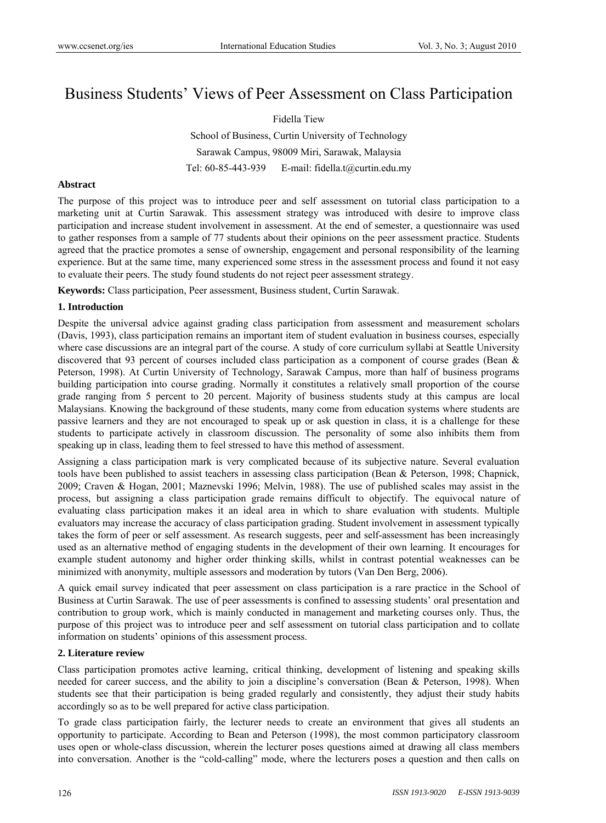# Business Students' Views of Peer Assessment on Class Participation

Fidella Tiew School of Business, Curtin University of Technology Sarawak Campus, 98009 Miri, Sarawak, Malaysia Tel: 60-85-443-939 E-mail: fidella.t@curtin.edu.my

## **Abstract**

The purpose of this project was to introduce peer and self assessment on tutorial class participation to a marketing unit at Curtin Sarawak. This assessment strategy was introduced with desire to improve class participation and increase student involvement in assessment. At the end of semester, a questionnaire was used to gather responses from a sample of 77 students about their opinions on the peer assessment practice. Students agreed that the practice promotes a sense of ownership, engagement and personal responsibility of the learning experience. But at the same time, many experienced some stress in the assessment process and found it not easy to evaluate their peers. The study found students do not reject peer assessment strategy.

**Keywords:** Class participation, Peer assessment, Business student, Curtin Sarawak.

## **1. Introduction**

Despite the universal advice against grading class participation from assessment and measurement scholars (Davis, 1993), class participation remains an important item of student evaluation in business courses, especially where case discussions are an integral part of the course. A study of core curriculum syllabi at Seattle University discovered that 93 percent of courses included class participation as a component of course grades (Bean & Peterson, 1998). At Curtin University of Technology, Sarawak Campus, more than half of business programs building participation into course grading. Normally it constitutes a relatively small proportion of the course grade ranging from 5 percent to 20 percent. Majority of business students study at this campus are local Malaysians. Knowing the background of these students, many come from education systems where students are passive learners and they are not encouraged to speak up or ask question in class, it is a challenge for these students to participate actively in classroom discussion. The personality of some also inhibits them from speaking up in class, leading them to feel stressed to have this method of assessment.

Assigning a class participation mark is very complicated because of its subjective nature. Several evaluation tools have been published to assist teachers in assessing class participation (Bean & Peterson, 1998; Chapnick, 2009; Craven & Hogan, 2001; Maznevski 1996; Melvin, 1988). The use of published scales may assist in the process, but assigning a class participation grade remains difficult to objectify. The equivocal nature of evaluating class participation makes it an ideal area in which to share evaluation with students. Multiple evaluators may increase the accuracy of class participation grading. Student involvement in assessment typically takes the form of peer or self assessment. As research suggests, peer and self-assessment has been increasingly used as an alternative method of engaging students in the development of their own learning. It encourages for example student autonomy and higher order thinking skills, whilst in contrast potential weaknesses can be minimized with anonymity, multiple assessors and moderation by tutors (Van Den Berg, 2006).

A quick email survey indicated that peer assessment on class participation is a rare practice in the School of Business at Curtin Sarawak. The use of peer assessments is confined to assessing students' oral presentation and contribution to group work, which is mainly conducted in management and marketing courses only. Thus, the purpose of this project was to introduce peer and self assessment on tutorial class participation and to collate information on students' opinions of this assessment process.

# **2. Literature review**

Class participation promotes active learning, critical thinking, development of listening and speaking skills needed for career success, and the ability to join a discipline's conversation (Bean & Peterson, 1998). When students see that their participation is being graded regularly and consistently, they adjust their study habits accordingly so as to be well prepared for active class participation.

To grade class participation fairly, the lecturer needs to create an environment that gives all students an opportunity to participate. According to Bean and Peterson (1998), the most common participatory classroom uses open or whole-class discussion, wherein the lecturer poses questions aimed at drawing all class members into conversation. Another is the "cold-calling" mode, where the lecturers poses a question and then calls on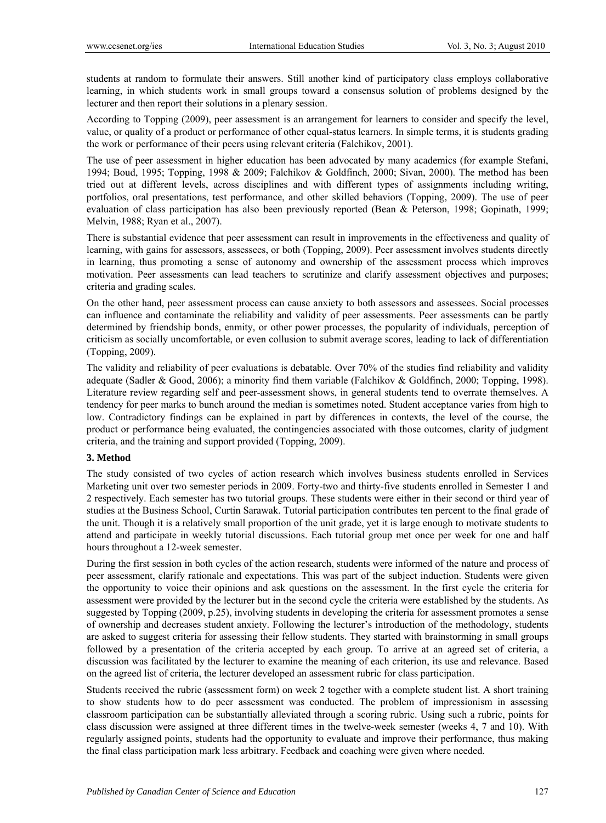students at random to formulate their answers. Still another kind of participatory class employs collaborative learning, in which students work in small groups toward a consensus solution of problems designed by the lecturer and then report their solutions in a plenary session.

According to Topping (2009), peer assessment is an arrangement for learners to consider and specify the level, value, or quality of a product or performance of other equal-status learners. In simple terms, it is students grading the work or performance of their peers using relevant criteria (Falchikov, 2001).

The use of peer assessment in higher education has been advocated by many academics (for example Stefani, 1994; Boud, 1995; Topping, 1998 & 2009; Falchikov & Goldfinch, 2000; Sivan, 2000). The method has been tried out at different levels, across disciplines and with different types of assignments including writing, portfolios, oral presentations, test performance, and other skilled behaviors (Topping, 2009). The use of peer evaluation of class participation has also been previously reported (Bean & Peterson, 1998; Gopinath, 1999; Melvin, 1988; Ryan et al., 2007).

There is substantial evidence that peer assessment can result in improvements in the effectiveness and quality of learning, with gains for assessors, assessees, or both (Topping, 2009). Peer assessment involves students directly in learning, thus promoting a sense of autonomy and ownership of the assessment process which improves motivation. Peer assessments can lead teachers to scrutinize and clarify assessment objectives and purposes; criteria and grading scales.

On the other hand, peer assessment process can cause anxiety to both assessors and assessees. Social processes can influence and contaminate the reliability and validity of peer assessments. Peer assessments can be partly determined by friendship bonds, enmity, or other power processes, the popularity of individuals, perception of criticism as socially uncomfortable, or even collusion to submit average scores, leading to lack of differentiation (Topping, 2009).

The validity and reliability of peer evaluations is debatable. Over 70% of the studies find reliability and validity adequate (Sadler & Good, 2006); a minority find them variable (Falchikov & Goldfinch, 2000; Topping, 1998). Literature review regarding self and peer-assessment shows, in general students tend to overrate themselves. A tendency for peer marks to bunch around the median is sometimes noted. Student acceptance varies from high to low. Contradictory findings can be explained in part by differences in contexts, the level of the course, the product or performance being evaluated, the contingencies associated with those outcomes, clarity of judgment criteria, and the training and support provided (Topping, 2009).

#### **3. Method**

The study consisted of two cycles of action research which involves business students enrolled in Services Marketing unit over two semester periods in 2009. Forty-two and thirty-five students enrolled in Semester 1 and 2 respectively. Each semester has two tutorial groups. These students were either in their second or third year of studies at the Business School, Curtin Sarawak. Tutorial participation contributes ten percent to the final grade of the unit. Though it is a relatively small proportion of the unit grade, yet it is large enough to motivate students to attend and participate in weekly tutorial discussions. Each tutorial group met once per week for one and half hours throughout a 12-week semester.

During the first session in both cycles of the action research, students were informed of the nature and process of peer assessment, clarify rationale and expectations. This was part of the subject induction. Students were given the opportunity to voice their opinions and ask questions on the assessment. In the first cycle the criteria for assessment were provided by the lecturer but in the second cycle the criteria were established by the students. As suggested by Topping (2009, p.25), involving students in developing the criteria for assessment promotes a sense of ownership and decreases student anxiety. Following the lecturer's introduction of the methodology, students are asked to suggest criteria for assessing their fellow students. They started with brainstorming in small groups followed by a presentation of the criteria accepted by each group. To arrive at an agreed set of criteria, a discussion was facilitated by the lecturer to examine the meaning of each criterion, its use and relevance. Based on the agreed list of criteria, the lecturer developed an assessment rubric for class participation.

Students received the rubric (assessment form) on week 2 together with a complete student list. A short training to show students how to do peer assessment was conducted. The problem of impressionism in assessing classroom participation can be substantially alleviated through a scoring rubric. Using such a rubric, points for class discussion were assigned at three different times in the twelve-week semester (weeks 4, 7 and 10). With regularly assigned points, students had the opportunity to evaluate and improve their performance, thus making the final class participation mark less arbitrary. Feedback and coaching were given where needed.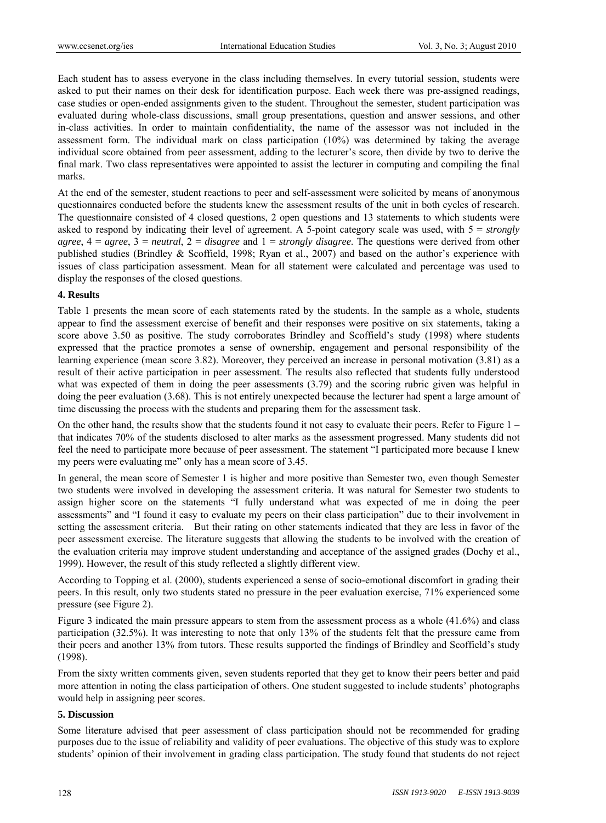Each student has to assess everyone in the class including themselves. In every tutorial session, students were asked to put their names on their desk for identification purpose. Each week there was pre-assigned readings, case studies or open-ended assignments given to the student. Throughout the semester, student participation was evaluated during whole-class discussions, small group presentations, question and answer sessions, and other in-class activities. In order to maintain confidentiality, the name of the assessor was not included in the assessment form. The individual mark on class participation (10%) was determined by taking the average individual score obtained from peer assessment, adding to the lecturer's score, then divide by two to derive the final mark. Two class representatives were appointed to assist the lecturer in computing and compiling the final marks.

At the end of the semester, student reactions to peer and self-assessment were solicited by means of anonymous questionnaires conducted before the students knew the assessment results of the unit in both cycles of research. The questionnaire consisted of 4 closed questions, 2 open questions and 13 statements to which students were asked to respond by indicating their level of agreement. A 5-point category scale was used, with 5 = *strongly agree*, 4 = *agree*, 3 = *neutral*, 2 = *disagree* and 1 = *strongly disagree*. The questions were derived from other published studies (Brindley & Scoffield, 1998; Ryan et al., 2007) and based on the author's experience with issues of class participation assessment. Mean for all statement were calculated and percentage was used to display the responses of the closed questions.

# **4. Results**

Table 1 presents the mean score of each statements rated by the students. In the sample as a whole, students appear to find the assessment exercise of benefit and their responses were positive on six statements, taking a score above 3.50 as positive. The study corroborates Brindley and Scoffield's study (1998) where students expressed that the practice promotes a sense of ownership, engagement and personal responsibility of the learning experience (mean score 3.82). Moreover, they perceived an increase in personal motivation (3.81) as a result of their active participation in peer assessment. The results also reflected that students fully understood what was expected of them in doing the peer assessments (3.79) and the scoring rubric given was helpful in doing the peer evaluation (3.68). This is not entirely unexpected because the lecturer had spent a large amount of time discussing the process with the students and preparing them for the assessment task.

On the other hand, the results show that the students found it not easy to evaluate their peers. Refer to Figure 1 – that indicates 70% of the students disclosed to alter marks as the assessment progressed. Many students did not feel the need to participate more because of peer assessment. The statement "I participated more because I knew my peers were evaluating me" only has a mean score of 3.45.

In general, the mean score of Semester 1 is higher and more positive than Semester two, even though Semester two students were involved in developing the assessment criteria. It was natural for Semester two students to assign higher score on the statements "I fully understand what was expected of me in doing the peer assessments" and "I found it easy to evaluate my peers on their class participation" due to their involvement in setting the assessment criteria. But their rating on other statements indicated that they are less in favor of the peer assessment exercise. The literature suggests that allowing the students to be involved with the creation of the evaluation criteria may improve student understanding and acceptance of the assigned grades (Dochy et al., 1999). However, the result of this study reflected a slightly different view.

According to Topping et al. (2000), students experienced a sense of socio-emotional discomfort in grading their peers. In this result, only two students stated no pressure in the peer evaluation exercise, 71% experienced some pressure (see Figure 2).

Figure 3 indicated the main pressure appears to stem from the assessment process as a whole (41.6%) and class participation (32.5%). It was interesting to note that only 13% of the students felt that the pressure came from their peers and another 13% from tutors. These results supported the findings of Brindley and Scoffield's study (1998).

From the sixty written comments given, seven students reported that they get to know their peers better and paid more attention in noting the class participation of others. One student suggested to include students' photographs would help in assigning peer scores.

# **5. Discussion**

Some literature advised that peer assessment of class participation should not be recommended for grading purposes due to the issue of reliability and validity of peer evaluations. The objective of this study was to explore students' opinion of their involvement in grading class participation. The study found that students do not reject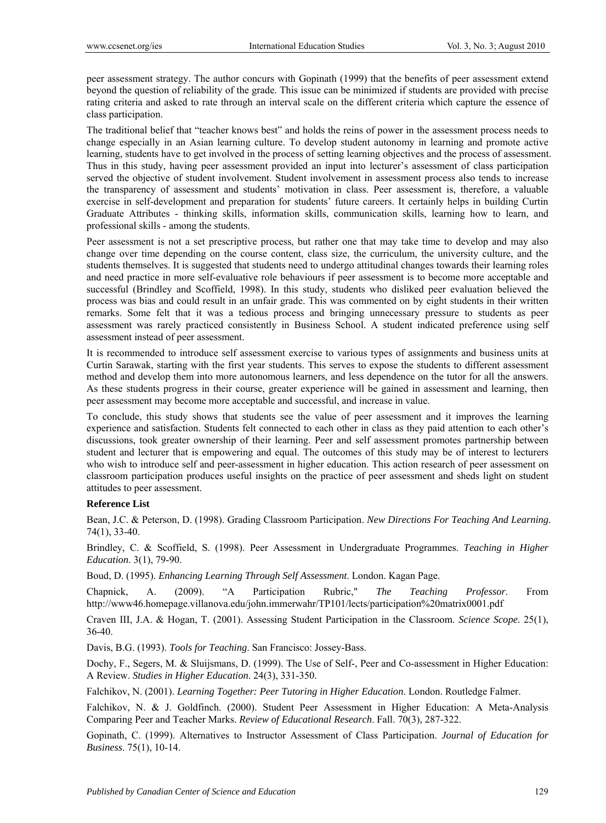peer assessment strategy. The author concurs with Gopinath (1999) that the benefits of peer assessment extend beyond the question of reliability of the grade. This issue can be minimized if students are provided with precise rating criteria and asked to rate through an interval scale on the different criteria which capture the essence of class participation.

The traditional belief that "teacher knows best" and holds the reins of power in the assessment process needs to change especially in an Asian learning culture. To develop student autonomy in learning and promote active learning, students have to get involved in the process of setting learning objectives and the process of assessment. Thus in this study, having peer assessment provided an input into lecturer's assessment of class participation served the objective of student involvement. Student involvement in assessment process also tends to increase the transparency of assessment and students' motivation in class. Peer assessment is, therefore, a valuable exercise in self-development and preparation for students' future careers. It certainly helps in building Curtin Graduate Attributes - thinking skills, information skills, communication skills, learning how to learn, and professional skills - among the students.

Peer assessment is not a set prescriptive process, but rather one that may take time to develop and may also change over time depending on the course content, class size, the curriculum, the university culture, and the students themselves. It is suggested that students need to undergo attitudinal changes towards their learning roles and need practice in more self-evaluative role behaviours if peer assessment is to become more acceptable and successful (Brindley and Scoffield, 1998). In this study, students who disliked peer evaluation believed the process was bias and could result in an unfair grade. This was commented on by eight students in their written remarks. Some felt that it was a tedious process and bringing unnecessary pressure to students as peer assessment was rarely practiced consistently in Business School. A student indicated preference using self assessment instead of peer assessment.

It is recommended to introduce self assessment exercise to various types of assignments and business units at Curtin Sarawak, starting with the first year students. This serves to expose the students to different assessment method and develop them into more autonomous learners, and less dependence on the tutor for all the answers. As these students progress in their course, greater experience will be gained in assessment and learning, then peer assessment may become more acceptable and successful, and increase in value.

To conclude, this study shows that students see the value of peer assessment and it improves the learning experience and satisfaction. Students felt connected to each other in class as they paid attention to each other's discussions, took greater ownership of their learning. Peer and self assessment promotes partnership between student and lecturer that is empowering and equal. The outcomes of this study may be of interest to lecturers who wish to introduce self and peer-assessment in higher education. This action research of peer assessment on classroom participation produces useful insights on the practice of peer assessment and sheds light on student attitudes to peer assessment.

# **Reference List**

Bean, J.C. & Peterson, D. (1998). Grading Classroom Participation. *New Directions For Teaching And Learning*. 74(1), 33-40.

Brindley, C. & Scoffield, S. (1998). Peer Assessment in Undergraduate Programmes. *Teaching in Higher Education*. 3(1), 79-90.

Boud, D. (1995). *Enhancing Learning Through Self Assessment*. London. Kagan Page.

Chapnick, A. (2009). "A Participation Rubric," *The Teaching Professor*. From http://www46.homepage.villanova.edu/john.immerwahr/TP101/lects/participation%20matrix0001.pdf

Craven III, J.A. & Hogan, T. (2001). Assessing Student Participation in the Classroom. *Science Scope*. 25(1), 36-40.

Davis, B.G. (1993). *Tools for Teaching*. San Francisco: Jossey-Bass.

Dochy, F., Segers, M. & Sluijsmans, D. (1999). The Use of Self-, Peer and Co-assessment in Higher Education: A Review. *Studies in Higher Education*. 24(3), 331-350.

Falchikov, N. (2001). *Learning Together: Peer Tutoring in Higher Education*. London. Routledge Falmer.

Falchikov, N. & J. Goldfinch. (2000). Student Peer Assessment in Higher Education: A Meta-Analysis Comparing Peer and Teacher Marks. *Review of Educational Research*. Fall. 70(3), 287-322.

Gopinath, C. (1999). Alternatives to Instructor Assessment of Class Participation. *Journal of Education for Business*. 75(1), 10-14.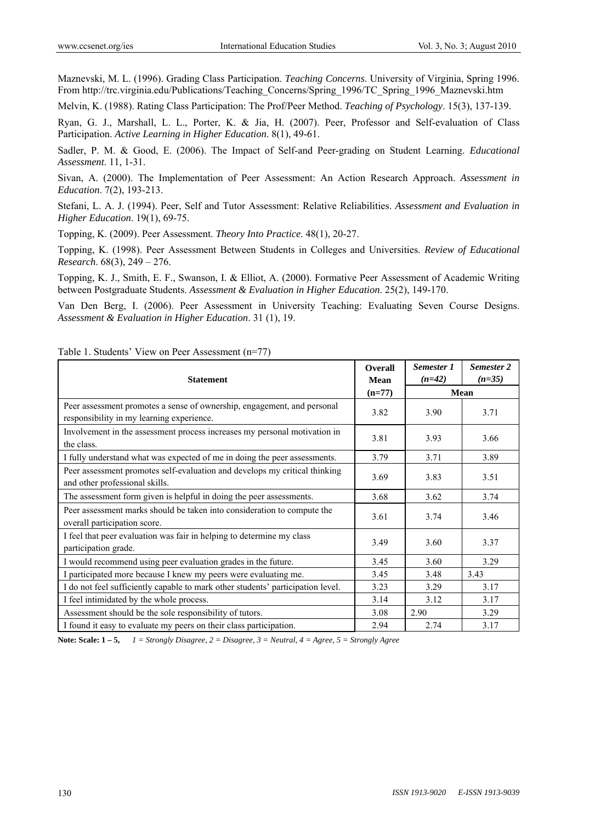Maznevski, M. L. (1996). Grading Class Participation. *Teaching Concerns*. University of Virginia, Spring 1996. From http://trc.virginia.edu/Publications/Teaching\_Concerns/Spring\_1996/TC\_Spring\_1996\_Maznevski.htm

Melvin, K. (1988). Rating Class Participation: The Prof/Peer Method. *Teaching of Psychology*. 15(3), 137-139.

Ryan, G. J., Marshall, L. L., Porter, K. & Jia, H. (2007). Peer, Professor and Self-evaluation of Class Participation. *Active Learning in Higher Education*. 8(1), 49-61.

Sadler, P. M. & Good, E. (2006). The Impact of Self-and Peer-grading on Student Learning. *Educational Assessment*. 11, 1-31.

Sivan, A. (2000). The Implementation of Peer Assessment: An Action Research Approach. *Assessment in Education*. 7(2), 193-213.

Stefani, L. A. J. (1994). Peer, Self and Tutor Assessment: Relative Reliabilities. *Assessment and Evaluation in Higher Education*. 19(1), 69-75.

Topping, K. (2009). Peer Assessment. *Theory Into Practice*. 48(1), 20-27.

Topping, K. (1998). Peer Assessment Between Students in Colleges and Universities. *Review of Educational Research*. 68(3), 249 – 276.

Topping, K. J., Smith, E. F., Swanson, I. & Elliot, A. (2000). Formative Peer Assessment of Academic Writing between Postgraduate Students. *Assessment & Evaluation in Higher Education*. 25(2), 149-170.

Van Den Berg, I. (2006). Peer Assessment in University Teaching: Evaluating Seven Course Designs. *Assessment & Evaluation in Higher Education*. 31 (1), 19.

| <b>Statement</b>                                                                                                     | <b>Overall</b><br>Mean | Semester 1<br>$(n=42)$ | Semester 2<br>$(n=35)$ |
|----------------------------------------------------------------------------------------------------------------------|------------------------|------------------------|------------------------|
|                                                                                                                      | $(n=77)$               | <b>Mean</b>            |                        |
| Peer assessment promotes a sense of ownership, engagement, and personal<br>responsibility in my learning experience. | 3.82                   | 3.90                   | 3.71                   |
| Involvement in the assessment process increases my personal motivation in<br>the class.                              | 3.81                   | 3.93                   | 3.66                   |
| I fully understand what was expected of me in doing the peer assessments.                                            | 3.79                   | 3.71                   | 3.89                   |
| Peer assessment promotes self-evaluation and develops my critical thinking<br>and other professional skills.         | 3.69                   | 3.83                   | 3.51                   |
| The assessment form given is helpful in doing the peer assessments.                                                  | 3.68                   | 3.62                   | 3.74                   |
| Peer assessment marks should be taken into consideration to compute the<br>overall participation score.              | 3.61                   | 3.74                   | 3.46                   |
| I feel that peer evaluation was fair in helping to determine my class<br>participation grade.                        | 3.49                   | 3.60                   | 3.37                   |
| I would recommend using peer evaluation grades in the future.                                                        | 3.45                   | 3.60                   | 3.29                   |
| I participated more because I knew my peers were evaluating me.                                                      | 3.45                   | 3.48                   | 3.43                   |
| I do not feel sufficiently capable to mark other students' participation level.                                      | 3.23                   | 3.29                   | 3.17                   |
| I feel intimidated by the whole process.                                                                             | 3.14                   | 3.12                   | 3.17                   |
| Assessment should be the sole responsibility of tutors.                                                              | 3.08                   | 2.90                   | 3.29                   |
| I found it easy to evaluate my peers on their class participation.                                                   | 2.94                   | 2.74                   | 3.17                   |

Table 1. Students' View on Peer Assessment (n=77)

**Note: Scale: 1 – 5,** *1 = Strongly Disagree, 2 = Disagree, 3 = Neutral, 4 = Agree, 5 = Strongly Agree*